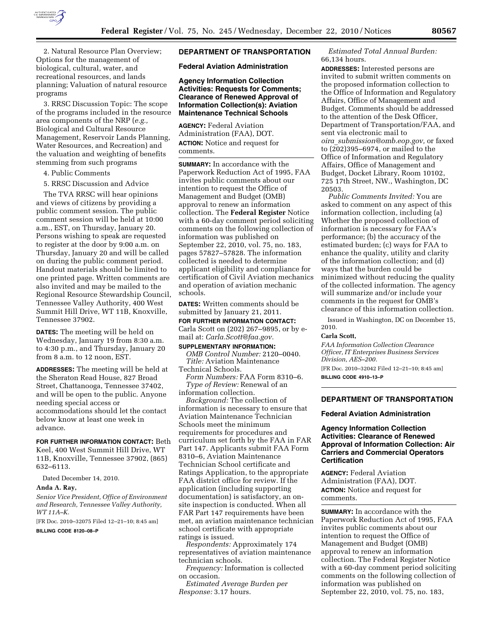

2. Natural Resource Plan Overview; Options for the management of biological, cultural, water, and recreational resources, and lands planning; Valuation of natural resource programs

3. RRSC Discussion Topic: The scope of the programs included in the resource area components of the NRP (*e.g.,*  Biological and Cultural Resource Management, Reservoir Lands Planning, Water Resources, and Recreation) and the valuation and weighting of benefits stemming from such programs

4. Public Comments

5. RRSC Discussion and Advice

The TVA RRSC will hear opinions and views of citizens by providing a public comment session. The public comment session will be held at 10:00 a.m., EST, on Thursday, January 20. Persons wishing to speak are requested to register at the door by 9:00 a.m. on Thursday, January 20 and will be called on during the public comment period. Handout materials should be limited to one printed page. Written comments are also invited and may be mailed to the Regional Resource Stewardship Council, Tennessee Valley Authority, 400 West Summit Hill Drive, WT 11B, Knoxville, Tennessee 37902.

**DATES:** The meeting will be held on Wednesday, January 19 from 8:30 a.m. to 4:30 p.m., and Thursday, January 20 from 8 a.m. to 12 noon, EST.

**ADDRESSES:** The meeting will be held at the Sheraton Read House, 827 Broad Street, Chattanooga, Tennessee 37402, and will be open to the public. Anyone needing special access or accommodations should let the contact below know at least one week in advance.

**FOR FURTHER INFORMATION CONTACT:** Beth Keel, 400 West Summit Hill Drive, WT 11B, Knoxville, Tennessee 37902, (865)

632–6113.

Dated December 14, 2010.

#### **Anda A. Ray,**

*Senior Vice President, Office of Environment and Research, Tennessee Valley Authority, WT 11A–K.* 

[FR Doc. 2010–32075 Filed 12–21–10; 8:45 am]

## **BILLING CODE 8120–08–P**

# **DEPARTMENT OF TRANSPORTATION**

**Federal Aviation Administration** 

**Agency Information Collection Activities: Requests for Comments; Clearance of Renewed Approval of Information Collection(s): Aviation Maintenance Technical Schools** 

**AGENCY:** Federal Aviation Administration (FAA), DOT. **ACTION:** Notice and request for comments.

**SUMMARY:** In accordance with the Paperwork Reduction Act of 1995, FAA invites public comments about our intention to request the Office of Management and Budget (OMB) approval to renew an information collection. The **Federal Register** Notice with a 60-day comment period soliciting comments on the following collection of information was published on September 22, 2010, vol. 75, no. 183, pages 57827–57828. The information collected is needed to determine applicant eligibility and compliance for certification of Civil Aviation mechanics and operation of aviation mechanic schools.

**DATES:** Written comments should be submitted by January 21, 2011.

**FOR FURTHER INFORMATION CONTACT:**  Carla Scott on (202) 267–9895, or by email at: *[Carla.Scott@faa.gov.](mailto:Carla.Scott@faa.gov)*  **SUPPLEMENTARY INFORMATION:** 

*OMB Control Number:* 2120–0040. *Title:* Aviation Maintenance Technical Schools.

*Form Numbers:* FAA Form 8310–6. *Type of Review:* Renewal of an information collection.

*Background:* The collection of information is necessary to ensure that Aviation Maintenance Technician Schools meet the minimum requirements for procedures and curriculum set forth by the FAA in FAR Part 147. Applicants submit FAA Form 8310–6, Aviation Maintenance Technician School certificate and Ratings Application, to the appropriate FAA district office for review. If the application (including supporting documentation) is satisfactory, an onsite inspection is conducted. When all FAR Part 147 requirements have been met, an aviation maintenance technician school certificate with appropriate ratings is issued.

*Respondents:* Approximately 174 representatives of aviation maintenance technician schools.

*Frequency:* Information is collected on occasion.

*Estimated Average Burden per Response:* 3.17 hours.

*Estimated Total Annual Burden:*  66,134 hours.

**ADDRESSES:** Interested persons are invited to submit written comments on the proposed information collection to the Office of Information and Regulatory Affairs, Office of Management and Budget. Comments should be addressed to the attention of the Desk Officer, Department of Transportation/FAA, and sent via electronic mail to *oira*\_*[submission@omb.eop.gov,](mailto:oira_submission@omb.eop.gov)* or faxed to (202)395–6974, or mailed to the Office of Information and Regulatory Affairs, Office of Management and Budget, Docket Library, Room 10102, 725 17th Street, NW., Washington, DC 20503.

*Public Comments Invited:* You are asked to comment on any aspect of this information collection, including (a) Whether the proposed collection of information is necessary for FAA's performance; (b) the accuracy of the estimated burden; (c) ways for FAA to enhance the quality, utility and clarity of the information collection; and (d) ways that the burden could be minimized without reducing the quality of the collected information. The agency will summarize and/or include your comments in the request for OMB's clearance of this information collection.

Issued in Washington, DC on December 15, 2010.

#### **Carla Scott,**

*FAA Information Collection Clearance Officer, IT Enterprises Business Services Division, AES–200.* 

[FR Doc. 2010–32042 Filed 12–21–10; 8:45 am] **BILLING CODE 4910–13–P** 

## **DEPARTMENT OF TRANSPORTATION**

## **Federal Aviation Administration**

# **Agency Information Collection Activities: Clearance of Renewed Approval of Information Collection: Air Carriers and Commercial Operators Certification**

**AGENCY:** Federal Aviation Administration (FAA), DOT. **ACTION:** Notice and request for comments.

**SUMMARY:** In accordance with the Paperwork Reduction Act of 1995, FAA invites public comments about our intention to request the Office of Management and Budget (OMB) approval to renew an information collection. The Federal Register Notice with a 60-day comment period soliciting comments on the following collection of information was published on September 22, 2010, vol. 75, no. 183,